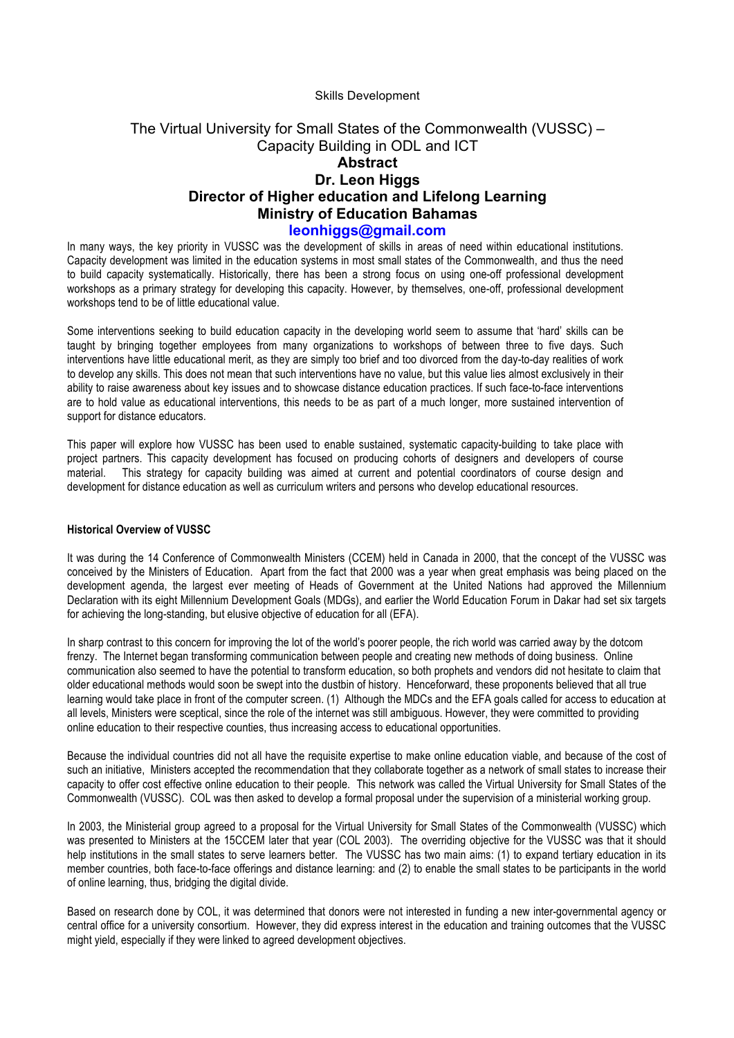#### Skills Development

# The Virtual University for Small States of the Commonwealth (VUSSC) – Capacity Building in ODL and ICT **Abstract Dr. Leon Higgs Director of Higher education and Lifelong Learning Ministry of Education Bahamas leonhiggs@gmail.com**

In many ways, the key priority in VUSSC was the development of skills in areas of need within educational institutions. Capacity development was limited in the education systems in most small states of the Commonwealth, and thus the need to build capacity systematically. Historically, there has been a strong focus on using one-off professional development workshops as a primary strategy for developing this capacity. However, by themselves, one-off, professional development workshops tend to be of little educational value.

Some interventions seeking to build education capacity in the developing world seem to assume that 'hard' skills can be taught by bringing together employees from many organizations to workshops of between three to five days. Such interventions have little educational merit, as they are simply too brief and too divorced from the day-to-day realities of work to develop any skills. This does not mean that such interventions have no value, but this value lies almost exclusively in their ability to raise awareness about key issues and to showcase distance education practices. If such face-to-face interventions are to hold value as educational interventions, this needs to be as part of a much longer, more sustained intervention of support for distance educators.

This paper will explore how VUSSC has been used to enable sustained, systematic capacity-building to take place with project partners. This capacity development has focused on producing cohorts of designers and developers of course material. This strategy for capacity building was aimed at current and potential coordinators of course design and development for distance education as well as curriculum writers and persons who develop educational resources.

#### **Historical Overview of VUSSC**

It was during the 14 Conference of Commonwealth Ministers (CCEM) held in Canada in 2000, that the concept of the VUSSC was conceived by the Ministers of Education. Apart from the fact that 2000 was a year when great emphasis was being placed on the development agenda, the largest ever meeting of Heads of Government at the United Nations had approved the Millennium Declaration with its eight Millennium Development Goals (MDGs), and earlier the World Education Forum in Dakar had set six targets for achieving the long-standing, but elusive objective of education for all (EFA).

In sharp contrast to this concern for improving the lot of the world's poorer people, the rich world was carried away by the dotcom frenzy. The Internet began transforming communication between people and creating new methods of doing business. Online communication also seemed to have the potential to transform education, so both prophets and vendors did not hesitate to claim that older educational methods would soon be swept into the dustbin of history. Henceforward, these proponents believed that all true learning would take place in front of the computer screen. (1) Although the MDCs and the EFA goals called for access to education at all levels, Ministers were sceptical, since the role of the internet was still ambiguous. However, they were committed to providing online education to their respective counties, thus increasing access to educational opportunities.

Because the individual countries did not all have the requisite expertise to make online education viable, and because of the cost of such an initiative, Ministers accepted the recommendation that they collaborate together as a network of small states to increase their capacity to offer cost effective online education to their people. This network was called the Virtual University for Small States of the Commonwealth (VUSSC). COL was then asked to develop a formal proposal under the supervision of a ministerial working group.

In 2003, the Ministerial group agreed to a proposal for the Virtual University for Small States of the Commonwealth (VUSSC) which was presented to Ministers at the 15CCEM later that year (COL 2003). The overriding objective for the VUSSC was that it should help institutions in the small states to serve learners better. The VUSSC has two main aims: (1) to expand tertiary education in its member countries, both face-to-face offerings and distance learning: and (2) to enable the small states to be participants in the world of online learning, thus, bridging the digital divide.

Based on research done by COL, it was determined that donors were not interested in funding a new inter-governmental agency or central office for a university consortium. However, they did express interest in the education and training outcomes that the VUSSC might yield, especially if they were linked to agreed development objectives.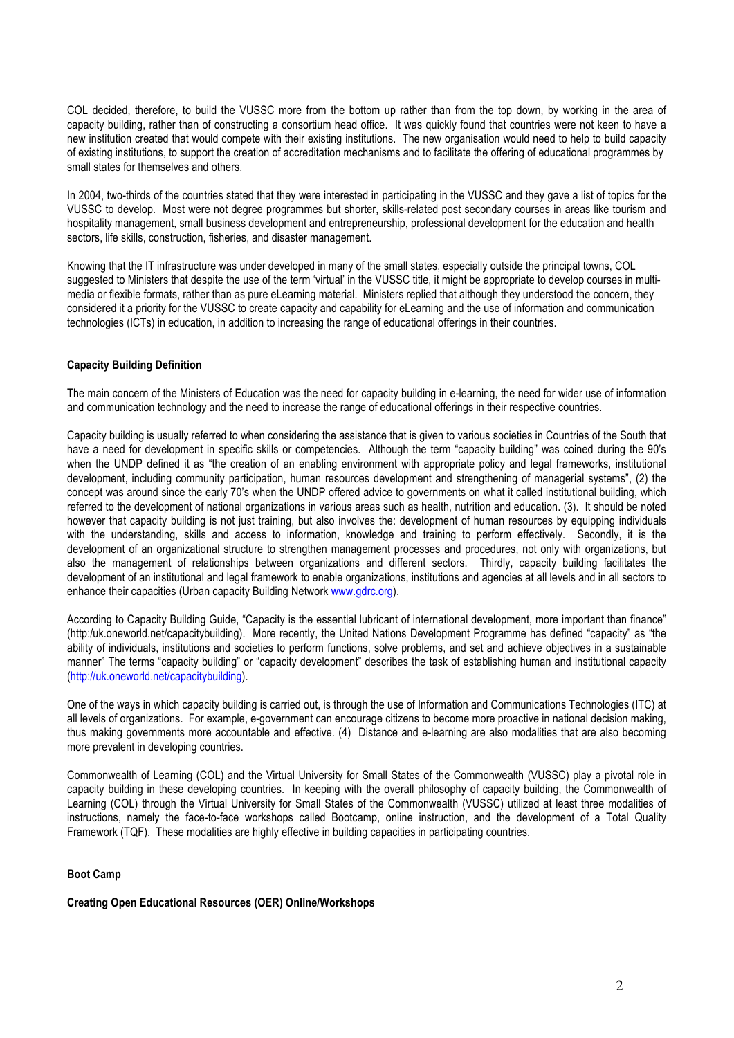COL decided, therefore, to build the VUSSC more from the bottom up rather than from the top down, by working in the area of capacity building, rather than of constructing a consortium head office. It was quickly found that countries were not keen to have a new institution created that would compete with their existing institutions. The new organisation would need to help to build capacity of existing institutions, to support the creation of accreditation mechanisms and to facilitate the offering of educational programmes by small states for themselves and others.

In 2004, two-thirds of the countries stated that they were interested in participating in the VUSSC and they gave a list of topics for the VUSSC to develop. Most were not degree programmes but shorter, skills-related post secondary courses in areas like tourism and hospitality management, small business development and entrepreneurship, professional development for the education and health sectors, life skills, construction, fisheries, and disaster management.

Knowing that the IT infrastructure was under developed in many of the small states, especially outside the principal towns, COL suggested to Ministers that despite the use of the term 'virtual' in the VUSSC title, it might be appropriate to develop courses in multimedia or flexible formats, rather than as pure eLearning material. Ministers replied that although they understood the concern, they considered it a priority for the VUSSC to create capacity and capability for eLearning and the use of information and communication technologies (ICTs) in education, in addition to increasing the range of educational offerings in their countries.

## **Capacity Building Definition**

The main concern of the Ministers of Education was the need for capacity building in e-learning, the need for wider use of information and communication technology and the need to increase the range of educational offerings in their respective countries.

Capacity building is usually referred to when considering the assistance that is given to various societies in Countries of the South that have a need for development in specific skills or competencies. Although the term "capacity building" was coined during the 90's when the UNDP defined it as "the creation of an enabling environment with appropriate policy and legal frameworks, institutional development, including community participation, human resources development and strengthening of managerial systems", (2) the concept was around since the early 70's when the UNDP offered advice to governments on what it called institutional building, which referred to the development of national organizations in various areas such as health, nutrition and education. (3). It should be noted however that capacity building is not just training, but also involves the: development of human resources by equipping individuals with the understanding, skills and access to information, knowledge and training to perform effectively. Secondly, it is the development of an organizational structure to strengthen management processes and procedures, not only with organizations, but also the management of relationships between organizations and different sectors. Thirdly, capacity building facilitates the development of an institutional and legal framework to enable organizations, institutions and agencies at all levels and in all sectors to enhance their capacities (Urban capacity Building Network www.gdrc.org).

According to Capacity Building Guide, "Capacity is the essential lubricant of international development, more important than finance" (http:/uk.oneworld.net/capacitybuilding). More recently, the United Nations Development Programme has defined "capacity" as "the ability of individuals, institutions and societies to perform functions, solve problems, and set and achieve objectives in a sustainable manner" The terms "capacity building" or "capacity development" describes the task of establishing human and institutional capacity (http://uk.oneworld.net/capacitybuilding).

One of the ways in which capacity building is carried out, is through the use of Information and Communications Technologies (ITC) at all levels of organizations. For example, e-government can encourage citizens to become more proactive in national decision making, thus making governments more accountable and effective. (4) Distance and e-learning are also modalities that are also becoming more prevalent in developing countries.

Commonwealth of Learning (COL) and the Virtual University for Small States of the Commonwealth (VUSSC) play a pivotal role in capacity building in these developing countries. In keeping with the overall philosophy of capacity building, the Commonwealth of Learning (COL) through the Virtual University for Small States of the Commonwealth (VUSSC) utilized at least three modalities of instructions, namely the face-to-face workshops called Bootcamp, online instruction, and the development of a Total Quality Framework (TQF). These modalities are highly effective in building capacities in participating countries.

## **Boot Camp**

### **Creating Open Educational Resources (OER) Online/Workshops**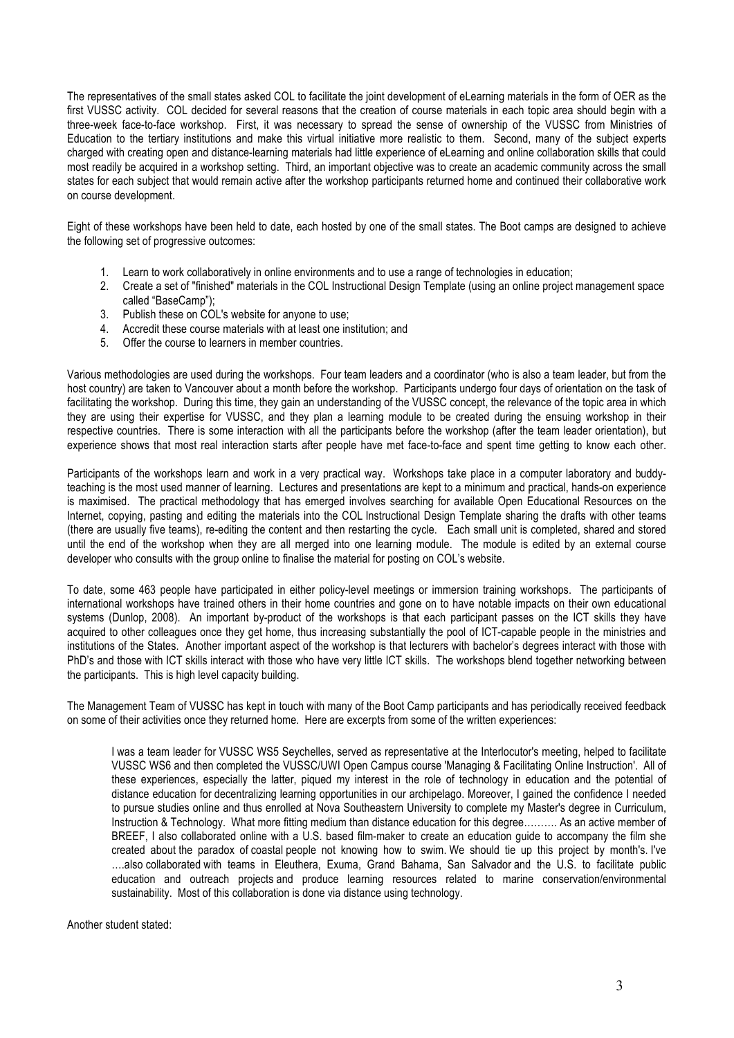The representatives of the small states asked COL to facilitate the joint development of eLearning materials in the form of OER as the first VUSSC activity. COL decided for several reasons that the creation of course materials in each topic area should begin with a three-week face-to-face workshop. First, it was necessary to spread the sense of ownership of the VUSSC from Ministries of Education to the tertiary institutions and make this virtual initiative more realistic to them. Second, many of the subject experts charged with creating open and distance-learning materials had little experience of eLearning and online collaboration skills that could most readily be acquired in a workshop setting. Third, an important objective was to create an academic community across the small states for each subject that would remain active after the workshop participants returned home and continued their collaborative work on course development.

Eight of these workshops have been held to date, each hosted by one of the small states. The Boot camps are designed to achieve the following set of progressive outcomes:

- 1. Learn to work collaboratively in online environments and to use a range of technologies in education;
- 2. Create a set of "finished" materials in the COL Instructional Design Template (using an online project management space called "BaseCamp");
- 3. Publish these on COL's website for anyone to use;
- 4. Accredit these course materials with at least one institution; and
- 5. Offer the course to learners in member countries.

Various methodologies are used during the workshops. Four team leaders and a coordinator (who is also a team leader, but from the host country) are taken to Vancouver about a month before the workshop. Participants undergo four days of orientation on the task of facilitating the workshop. During this time, they gain an understanding of the VUSSC concept, the relevance of the topic area in which they are using their expertise for VUSSC, and they plan a learning module to be created during the ensuing workshop in their respective countries. There is some interaction with all the participants before the workshop (after the team leader orientation), but experience shows that most real interaction starts after people have met face-to-face and spent time getting to know each other.

Participants of the workshops learn and work in a very practical way. Workshops take place in a computer laboratory and buddyteaching is the most used manner of learning. Lectures and presentations are kept to a minimum and practical, hands-on experience is maximised. The practical methodology that has emerged involves searching for available Open Educational Resources on the Internet, copying, pasting and editing the materials into the COL Instructional Design Template sharing the drafts with other teams (there are usually five teams), re-editing the content and then restarting the cycle. Each small unit is completed, shared and stored until the end of the workshop when they are all merged into one learning module. The module is edited by an external course developer who consults with the group online to finalise the material for posting on COL's website.

To date, some 463 people have participated in either policy-level meetings or immersion training workshops. The participants of international workshops have trained others in their home countries and gone on to have notable impacts on their own educational systems (Dunlop, 2008). An important by-product of the workshops is that each participant passes on the ICT skills they have acquired to other colleagues once they get home, thus increasing substantially the pool of ICT-capable people in the ministries and institutions of the States. Another important aspect of the workshop is that lecturers with bachelor's degrees interact with those with PhD's and those with ICT skills interact with those who have very little ICT skills. The workshops blend together networking between the participants. This is high level capacity building.

The Management Team of VUSSC has kept in touch with many of the Boot Camp participants and has periodically received feedback on some of their activities once they returned home. Here are excerpts from some of the written experiences:

I was a team leader for VUSSC WS5 Seychelles, served as representative at the Interlocutor's meeting, helped to facilitate VUSSC WS6 and then completed the VUSSC/UWI Open Campus course 'Managing & Facilitating Online Instruction'. All of these experiences, especially the latter, piqued my interest in the role of technology in education and the potential of distance education for decentralizing learning opportunities in our archipelago. Moreover, I gained the confidence I needed to pursue studies online and thus enrolled at Nova Southeastern University to complete my Master's degree in Curriculum, Instruction & Technology. What more fitting medium than distance education for this degree………. As an active member of BREEF, I also collaborated online with a U.S. based film-maker to create an education guide to accompany the film she created about the paradox of coastal people not knowing how to swim. We should tie up this project by month's. I've ….also collaborated with teams in Eleuthera, Exuma, Grand Bahama, San Salvador and the U.S. to facilitate public education and outreach projects and produce learning resources related to marine conservation/environmental sustainability. Most of this collaboration is done via distance using technology.

Another student stated: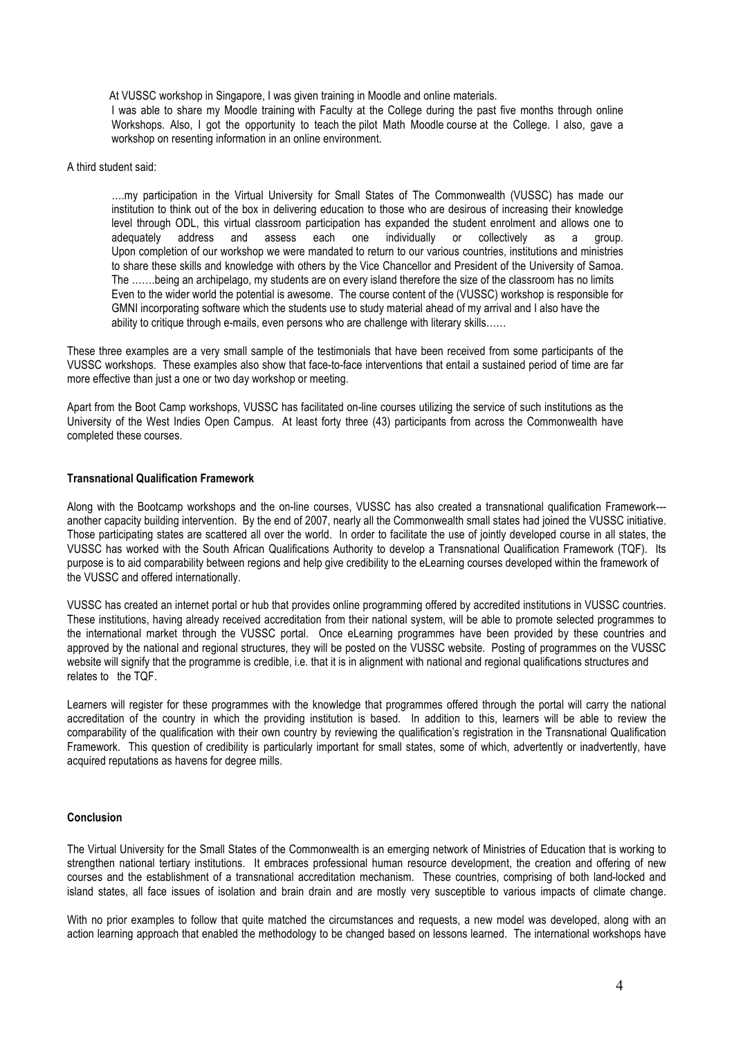At VUSSC workshop in Singapore, I was given training in Moodle and online materials. I was able to share my Moodle training with Faculty at the College during the past five months through online Workshops. Also, I got the opportunity to teach the pilot Math Moodle course at the College. I also, gave a workshop on resenting information in an online environment.

#### A third student said:

….my participation in the Virtual University for Small States of The Commonwealth (VUSSC) has made our institution to think out of the box in delivering education to those who are desirous of increasing their knowledge level through ODL, this virtual classroom participation has expanded the student enrolment and allows one to adequately address and assess each one individually or collectively as a group. Upon completion of our workshop we were mandated to return to our various countries, institutions and ministries to share these skills and knowledge with others by the Vice Chancellor and President of the University of Samoa. The …….being an archipelago, my students are on every island therefore the size of the classroom has no limits Even to the wider world the potential is awesome. The course content of the (VUSSC) workshop is responsible for GMNI incorporating software which the students use to study material ahead of my arrival and I also have the ability to critique through e-mails, even persons who are challenge with literary skills……

These three examples are a very small sample of the testimonials that have been received from some participants of the VUSSC workshops. These examples also show that face-to-face interventions that entail a sustained period of time are far more effective than just a one or two day workshop or meeting.

Apart from the Boot Camp workshops, VUSSC has facilitated on-line courses utilizing the service of such institutions as the University of the West Indies Open Campus. At least forty three (43) participants from across the Commonwealth have completed these courses.

### **Transnational Qualification Framework**

Along with the Bootcamp workshops and the on-line courses, VUSSC has also created a transnational qualification Framework-- another capacity building intervention. By the end of 2007, nearly all the Commonwealth small states had joined the VUSSC initiative. Those participating states are scattered all over the world. In order to facilitate the use of jointly developed course in all states, the VUSSC has worked with the South African Qualifications Authority to develop a Transnational Qualification Framework (TQF). Its purpose is to aid comparability between regions and help give credibility to the eLearning courses developed within the framework of the VUSSC and offered internationally.

VUSSC has created an internet portal or hub that provides online programming offered by accredited institutions in VUSSC countries. These institutions, having already received accreditation from their national system, will be able to promote selected programmes to the international market through the VUSSC portal. Once eLearning programmes have been provided by these countries and approved by the national and regional structures, they will be posted on the VUSSC website. Posting of programmes on the VUSSC website will signify that the programme is credible, i.e. that it is in alignment with national and regional qualifications structures and relates to the TQF.

Learners will register for these programmes with the knowledge that programmes offered through the portal will carry the national accreditation of the country in which the providing institution is based. In addition to this, learners will be able to review the comparability of the qualification with their own country by reviewing the qualification's registration in the Transnational Qualification Framework. This question of credibility is particularly important for small states, some of which, advertently or inadvertently, have acquired reputations as havens for degree mills.

### **Conclusion**

The Virtual University for the Small States of the Commonwealth is an emerging network of Ministries of Education that is working to strengthen national tertiary institutions. It embraces professional human resource development, the creation and offering of new courses and the establishment of a transnational accreditation mechanism. These countries, comprising of both land-locked and island states, all face issues of isolation and brain drain and are mostly very susceptible to various impacts of climate change.

With no prior examples to follow that quite matched the circumstances and requests, a new model was developed, along with an action learning approach that enabled the methodology to be changed based on lessons learned. The international workshops have